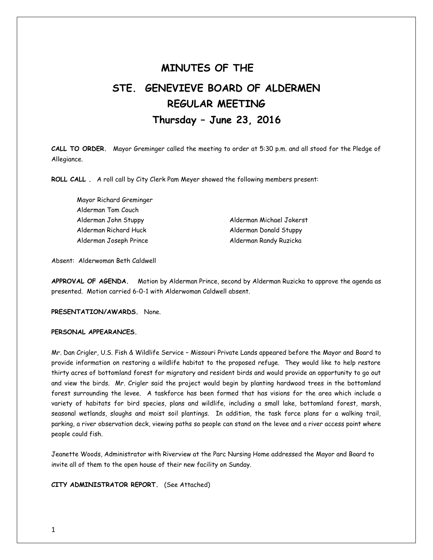# **MINUTES OF THE STE. GENEVIEVE BOARD OF ALDERMEN REGULAR MEETING Thursday – June 23, 2016**

**CALL TO ORDER.** Mayor Greminger called the meeting to order at 5:30 p.m. and all stood for the Pledge of Allegiance.

**ROLL CALL .** A roll call by City Clerk Pam Meyer showed the following members present:

Mayor Richard Greminger Alderman Tom Couch Alderman John Stuppy Alderman Michael Jokerst Alderman Richard Huck Alderman Donald Stuppy Alderman Joseph Prince **Alderman Randy Ruzicka** 

Absent: Alderwoman Beth Caldwell

**APPROVAL OF AGENDA.** Motion by Alderman Prince, second by Alderman Ruzicka to approve the agenda as presented. Motion carried 6-0-1 with Alderwoman Caldwell absent.

**PRESENTATION/AWARDS.** None.

### **PERSONAL APPEARANCES.**

Mr. Dan Crigler, U.S. Fish & Wildlife Service – Missouri Private Lands appeared before the Mayor and Board to provide information on restoring a wildlife habitat to the proposed refuge. They would like to help restore thirty acres of bottomland forest for migratory and resident birds and would provide an opportunity to go out and view the birds. Mr. Crigler said the project would begin by planting hardwood trees in the bottomland forest surrounding the levee. A taskforce has been formed that has visions for the area which include a variety of habitats for bird species, plans and wildlife, including a small lake, bottomland forest, marsh, seasonal wetlands, sloughs and moist soil plantings. In addition, the task force plans for a walking trail, parking, a river observation deck, viewing paths so people can stand on the levee and a river access point where people could fish.

Jeanette Woods, Administrator with Riverview at the Parc Nursing Home addressed the Mayor and Board to invite all of them to the open house of their new facility on Sunday.

**CITY ADMINISTRATOR REPORT.** (See Attached)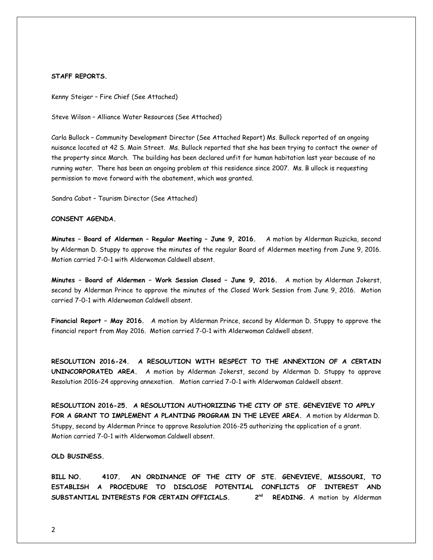#### **STAFF REPORTS.**

Kenny Steiger – Fire Chief (See Attached)

Steve Wilson – Alliance Water Resources (See Attached)

Carla Bullock – Community Development Director (See Attached Report) Ms. Bullock reported of an ongoing nuisance located at 42 S. Main Street. Ms. Bullock reported that she has been trying to contact the owner of the property since March. The building has been declared unfit for human habitation last year because of no running water. There has been an ongoing problem at this residence since 2007. Ms. B ullock is requesting permission to move forward with the abatement, which was granted.

Sandra Cabot – Tourism Director (See Attached)

# **CONSENT AGENDA.**

**Minutes – Board of Aldermen – Regular Meeting – June 9, 2016.** A motion by Alderman Ruzicka, second by Alderman D. Stuppy to approve the minutes of the regular Board of Aldermen meeting from June 9, 2016. Motion carried 7-0-1 with Alderwoman Caldwell absent.

**Minutes – Board of Aldermen – Work Session Closed – June 9, 2016.** A motion by Alderman Jokerst, second by Alderman Prince to approve the minutes of the Closed Work Session from June 9, 2016. Motion carried 7-0-1 with Alderwoman Caldwell absent.

**Financial Report – May 2016.** A motion by Alderman Prince, second by Alderman D. Stuppy to approve the financial report from May 2016. Motion carried 7-0-1 with Alderwoman Caldwell absent.

**RESOLUTION 2016-24. A RESOLUTION WITH RESPECT TO THE ANNEXTION OF A CERTAIN UNINCORPORATED AREA.** A motion by Alderman Jokerst, second by Alderman D. Stuppy to approve Resolution 2016-24 approving annexation. Motion carried 7-0-1 with Alderwoman Caldwell absent.

**RESOLUTION 2016-25. A RESOLUTION AUTHORIZING THE CITY OF STE. GENEVIEVE TO APPLY FOR A GRANT TO IMPLEMENT A PLANTING PROGRAM IN THE LEVEE AREA.** A motion by Alderman D. Stuppy, second by Alderman Prince to approve Resolution 2016-25 authorizing the application of a grant. Motion carried 7-0-1 with Alderwoman Caldwell absent.

## **OLD BUSINESS.**

**BILL NO. 4107. AN ORDINANCE OF THE CITY OF STE. GENEVIEVE, MISSOURI, TO ESTABLISH A PROCEDURE TO DISCLOSE POTENTIAL CONFLICTS OF INTEREST AND SUBSTANTIAL INTERESTS FOR CERTAIN OFFICIALS. 2 READING.** A motion by Alderman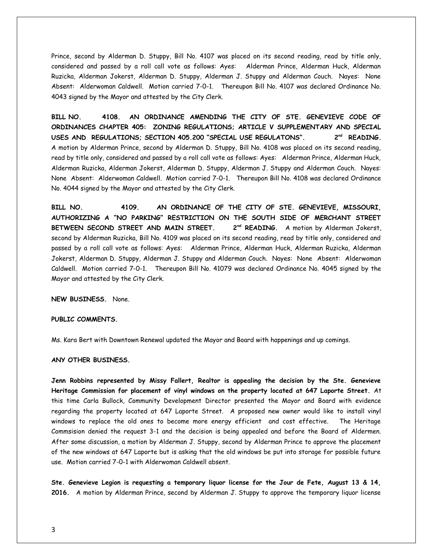Prince, second by Alderman D. Stuppy, Bill No. 4107 was placed on its second reading, read by title only, considered and passed by a roll call vote as follows: Ayes: Alderman Prince, Alderman Huck, Alderman Ruzicka, Alderman Jokerst, Alderman D. Stuppy, Alderman J. Stuppy and Alderman Couch. Nayes: None Absent: Alderwoman Caldwell. Motion carried 7-0-1. Thereupon Bill No. 4107 was declared Ordinance No. 4043 signed by the Mayor and attested by the City Clerk.

**BILL NO. 4108. AN ORDINANCE AMENDING THE CITY OF STE. GENEVIEVE CODE OF ORDINANCES CHAPTER 405: ZONING REGULATIONS; ARTICLE V SUPPLEMENTARY AND SPECIAL USES AND REGULATIONS; SECTION 405.200 "SPECIAL USE REGULATONS". 2nd READING.** A motion by Alderman Prince, second by Alderman D. Stuppy, Bill No. 4108 was placed on its second reading, read by title only, considered and passed by a roll call vote as follows: Ayes: Alderman Prince, Alderman Huck, Alderman Ruzicka, Alderman Jokerst, Alderman D. Stuppy, Alderman J. Stuppy and Alderman Couch. Nayes: None Absent: Alderwoman Caldwell. Motion carried 7-0-1. Thereupon Bill No. 4108 was declared Ordinance No. 4044 signed by the Mayor and attested by the City Clerk.

**BILL NO. 4109. AN ORDINANCE OF THE CITY OF STE. GENEVIEVE, MISSOURI, AUTHORIZING A "NO PARKING" RESTRICTION ON THE SOUTH SIDE OF MERCHANT STREET BETWEEN SECOND STREET AND MAIN STREET. 2nd READING.** A motion by Alderman Jokerst, second by Alderman Ruzicka, Bill No. 4109 was placed on its second reading, read by title only, considered and passed by a roll call vote as follows: Ayes: Alderman Prince, Alderman Huck, Alderman Ruzicka, Alderman Jokerst, Alderman D. Stuppy, Alderman J. Stuppy and Alderman Couch. Nayes: None Absent: Alderwoman Caldwell. Motion carried 7-0-1. Thereupon Bill No. 41079 was declared Ordinance No. 4045 signed by the Mayor and attested by the City Clerk.

**NEW BUSINESS.** None.

## **PUBLIC COMMENTS.**

Ms. Kara Bert with Downtown Renewal updated the Mayor and Board with happenings and up comings.

#### **ANY OTHER BUSINESS.**

**Jenn Robbins represented by Missy Fallert, Realtor is appealing the decision by the Ste. Genevieve Heritage Commission for placement of vinyl windows on the property located at 647 Laporte Street.** At this time Carla Bullock, Community Development Director presented the Mayor and Board with evidence regarding the property located at 647 Laporte Street. A proposed new owner would like to install vinyl windows to replace the old ones to become more energy efficient and cost effective. The Heritage Commsision denied the request 3-1 and the decision is being appealed and before the Board of Aldermen. After some discussion, a motion by Alderman J. Stuppy, second by Alderman Prince to approve the placement of the new windows at 647 Laporte but is asking that the old windows be put into storage for possible future use. Motion carried 7-0-1 with Alderwoman Caldwell absent.

**Ste. Genevieve Legion is requesting a temporary liquor license for the Jour de Fete, August 13 & 14, 2016.** A motion by Alderman Prince, second by Alderman J. Stuppy to approve the temporary liquor license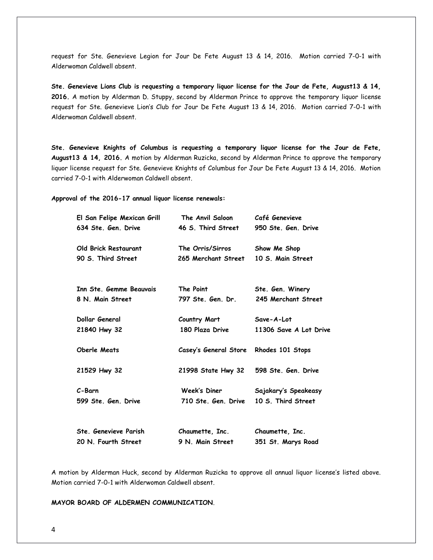request for Ste. Genevieve Legion for Jour De Fete August 13 & 14, 2016. Motion carried 7-0-1 with Alderwoman Caldwell absent.

**Ste. Genevieve Lions Club is requesting a temporary liquor license for the Jour de Fete, August13 & 14, 2016.** A motion by Alderman D. Stuppy, second by Alderman Prince to approve the temporary liquor license request for Ste. Genevieve Lion's Club for Jour De Fete August 13 & 14, 2016. Motion carried 7-0-1 with Alderwoman Caldwell absent.

**Ste. Genevieve Knights of Columbus is requesting a temporary liquor license for the Jour de Fete, August13 & 14, 2016.** A motion by Alderman Ruzicka, second by Alderman Prince to approve the temporary liquor license request for Ste. Genevieve Knights of Columbus for Jour De Fete August 13 & 14, 2016. Motion carried 7-0-1 with Alderwoman Caldwell absent.

**Approval of the 2016-17 annual liquor license renewals:** 

| El San Felipe Mexican Grill | The Anvil Saloon                       | Café Genevieve         |
|-----------------------------|----------------------------------------|------------------------|
| 634 Ste. Gen. Drive         | 46 S. Third Street                     | 950 Ste, Gen, Drive    |
| Old Brick Restaurant        | The Orris/Sirros Show Me Shop          |                        |
| 90 S. Third Street          | 265 Merchant Street 10 S. Main Street  |                        |
|                             |                                        |                        |
| Inn Ste, Gemme Beauvais     | The Point                              | Ste. Gen. Winery       |
| 8 N. Main Street            | 797 Ste, Gen, Dr.                      | 245 Merchant Street    |
| Dollar General              | Country Mart                           | Save-A-Lot             |
| 21840 Hwy 32                | 180 Plaza Drive                        | 11306 Save A Lot Drive |
| <b>Oberle Meats</b>         | Casey's General Store Rhodes 101 Stops |                        |
| 21529 Hwy 32                | 21998 State Hwy 32 598 Ste. Gen. Drive |                        |
| C-Barn                      | Week's Diner                           | Sajakary's Speakeasy   |
| 599 Ste Gen Drive           | 710 Ste. Gen. Drive                    | 10 S. Third Street     |
| Ste, Genevieve Parish       |                                        |                        |
|                             | Chaumette, Inc.                        | Chaumette, Inc.        |
| 20 N. Fourth Street         | 9 N. Main Street                       | 351 St. Marys Road     |

A motion by Alderman Huck, second by Alderman Ruzicka to approve all annual liquor license's listed above. Motion carried 7-0-1 with Alderwoman Caldwell absent.

**MAYOR BOARD OF ALDERMEN COMMUNICATION**.